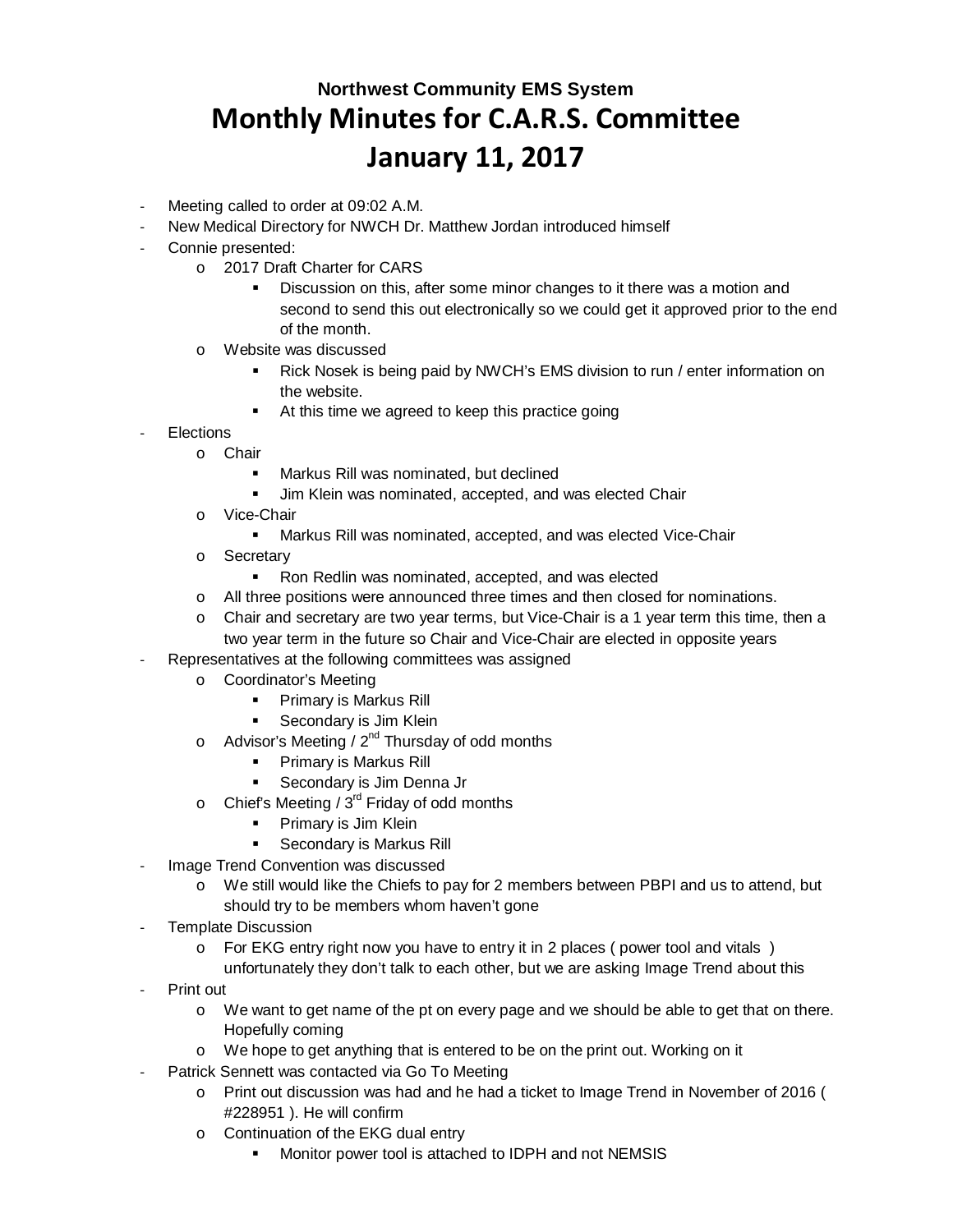## **Northwest Community EMS System Monthly Minutes for C.A.R.S. Committee January 11, 2017**

- Meeting called to order at 09:02 A.M.
- New Medical Directory for NWCH Dr. Matthew Jordan introduced himself
- Connie presented:
	- o 2017 Draft Charter for CARS
		- **Discussion on this, after some minor changes to it there was a motion and** second to send this out electronically so we could get it approved prior to the end of the month.
	- o Website was discussed
		- Rick Nosek is being paid by NWCH's EMS division to run / enter information on the website.
		- At this time we agreed to keep this practice going
- **Elections** 
	- o Chair
		- Markus Rill was nominated, but declined
		- Jim Klein was nominated, accepted, and was elected Chair
		- o Vice-Chair
			- **Markus Rill was nominated, accepted, and was elected Vice-Chair**
		- o Secretary
			- **Ron Redlin was nominated, accepted, and was elected**
		- o All three positions were announced three times and then closed for nominations.
		- o Chair and secretary are two year terms, but Vice-Chair is a 1 year term this time, then a two year term in the future so Chair and Vice-Chair are elected in opposite years
- Representatives at the following committees was assigned
	- o Coordinator's Meeting
		- **Primary is Markus Rill**
		- **Secondary is Jim Klein**
	- o Advisor's Meeting /  $2^{nd}$  Thursday of odd months
		- **Primary is Markus Rill**
		- **Secondary is Jim Denna Jr**
	- o Chief's Meeting /  $3^{rd}$  Friday of odd months
		- **Primary is Jim Klein**
		- **Secondary is Markus Rill**
- Image Trend Convention was discussed
	- o We still would like the Chiefs to pay for 2 members between PBPI and us to attend, but should try to be members whom haven't gone
- Template Discussion
	- $\circ$  For EKG entry right now you have to entry it in 2 places (power tool and vitals) unfortunately they don't talk to each other, but we are asking Image Trend about this
- Print out
	- o We want to get name of the pt on every page and we should be able to get that on there. Hopefully coming
	- o We hope to get anything that is entered to be on the print out. Working on it
	- Patrick Sennett was contacted via Go To Meeting
		- o Print out discussion was had and he had a ticket to Image Trend in November of 2016 ( #228951 ). He will confirm
		- o Continuation of the EKG dual entry
			- Monitor power tool is attached to IDPH and not NEMSIS